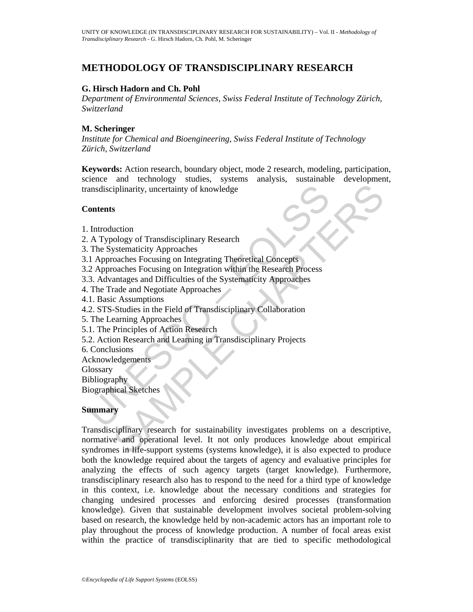# **METHODOLOGY OF TRANSDISCIPLINARY RESEARCH**

### **G. Hirsch Hadorn and Ch. Pohl**

*Department of Environmental Sciences, Swiss Federal Institute of Technology Zürich, Switzerland* 

### **M. Scheringer**

*Institute for Chemical and Bioengineering, Swiss Federal Institute of Technology Zürich, Switzerland* 

Examples and Scheme and Scheme and Scheme and Scheme and Scheme and Typology of Transdisciplinary Research<br>
The Systematicity Approaches<br>
2 Approaches Focusing on Integrating Theoretical Concepts<br>
2 Approaches Focusing on **Keywords:** Action research, boundary object, mode 2 research, modeling, participation, science and technology studies, systems analysis, sustainable development, transdisciplinarity, uncertainty of knowledge

#### **Contents**

- 1. Introduction
- 2. A Typology of Transdisciplinary Research
- 3. The Systematicity Approaches
- 3.1 Approaches Focusing on Integrating Theoretical Concepts
- 3.2 Approaches Focusing on Integration within the Research Process
- 3.3. Advantages and Difficulties of the Systematicity Approaches
- 4. The Trade and Negotiate Approaches
- 4.1. Basic Assumptions
- 4.2. STS-Studies in the Field of Transdisciplinary Collaboration
- 5. The Learning Approaches
- 5.1. The Principles of Action Research
- 5.2. Action Research and Learning in Transdisciplinary Projects
- 6. Conclusions
- Acknowledgements
- **Glossary**

Bibliography

Biographical Sketches

#### **Summary**

iplinarity, uncertainty of knowledge<br>
S<br>
S<br>
S<br>
S<br>
S<br>
S<br>
S<br>
Contom<br>
Systematicity Approaches<br>
Systematicity Approaches<br>
Systematicity Approaches<br>
Focusing on Integration within the Research Process<br>
antages and Difficulties Transdisciplinary research for sustainability investigates problems on a descriptive, normative and operational level. It not only produces knowledge about empirical syndromes in life-support systems (systems knowledge), it is also expected to produce both the knowledge required about the targets of agency and evaluative principles for analyzing the effects of such agency targets (target knowledge). Furthermore, transdisciplinary research also has to respond to the need for a third type of knowledge in this context, i.e. knowledge about the necessary conditions and strategies for changing undesired processes and enforcing desired processes (transformation knowledge). Given that sustainable development involves societal problem-solving based on research, the knowledge held by non-academic actors has an important role to play throughout the process of knowledge production. A number of focal areas exist within the practice of transdisciplinarity that are tied to specific methodological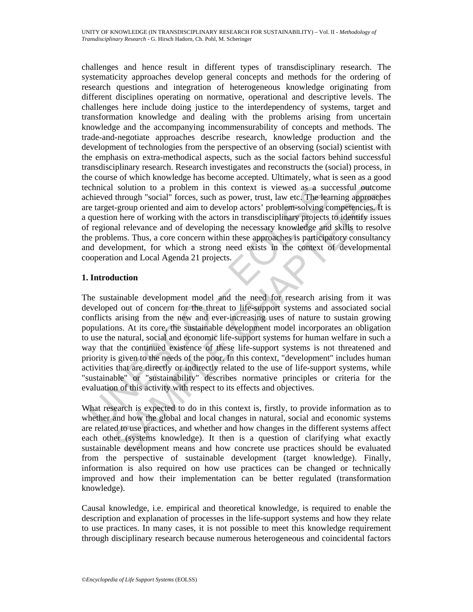challenges and hence result in different types of transdisciplinary research. The systematicity approaches develop general concepts and methods for the ordering of research questions and integration of heterogeneous knowledge originating from different disciplines operating on normative, operational and descriptive levels. The challenges here include doing justice to the interdependency of systems, target and transformation knowledge and dealing with the problems arising from uncertain knowledge and the accompanying incommensurability of concepts and methods. The trade-and-negotiate approaches describe research, knowledge production and the development of technologies from the perspective of an observing (social) scientist with the emphasis on extra-methodical aspects, such as the social factors behind successful transdisciplinary research. Research investigates and reconstructs the (social) process, in the course of which knowledge has become accepted. Ultimately, what is seen as a good technical solution to a problem in this context is viewed as a successful outcome achieved through "social" forces, such as power, trust, law etc. The learning approaches are target-group oriented and aim to develop actors' problem-solving competencies. It is a question here of working with the actors in transdisciplinary projects to identify issues of regional relevance and of developing the necessary knowledge and skills to resolve the problems. Thus, a core concern within these approaches is participatory consultancy and development, for which a strong need exists in the context of developmental cooperation and Local Agenda 21 projects.

### **1. Introduction**

chinical solution to a problem in this context is viewed as a suchieved through "social" forces, such as power, trust, law etc. The lead exerge-group oriented and aim to develop actors' problem-solving coupled question her solution to a problem in this context is viewed as a successful outcom<br>through "social" forces, such as power, trust, law etc. The learning approache-<br>r-group oriented and aim to develop actors' problem-solving competencie The sustainable development model and the need for research arising from it was developed out of concern for the threat to life-support systems and associated social conflicts arising from the new and ever-increasing uses of nature to sustain growing populations. At its core, the sustainable development model incorporates an obligation to use the natural, social and economic life-support systems for human welfare in such a way that the continued existence of these life-support systems is not threatened and priority is given to the needs of the poor. In this context, "development" includes human activities that are directly or indirectly related to the use of life-support systems, while "sustainable" or "sustainability" describes normative principles or criteria for the evaluation of this activity with respect to its effects and objectives.

What research is expected to do in this context is, firstly, to provide information as to whether and how the global and local changes in natural, social and economic systems are related to use practices, and whether and how changes in the different systems affect each other (systems knowledge). It then is a question of clarifying what exactly sustainable development means and how concrete use practices should be evaluated from the perspective of sustainable development (target knowledge). Finally, information is also required on how use practices can be changed or technically improved and how their implementation can be better regulated (transformation knowledge).

Causal knowledge, i.e. empirical and theoretical knowledge, is required to enable the description and explanation of processes in the life-support systems and how they relate to use practices. In many cases, it is not possible to meet this knowledge requirement through disciplinary research because numerous heterogeneous and coincidental factors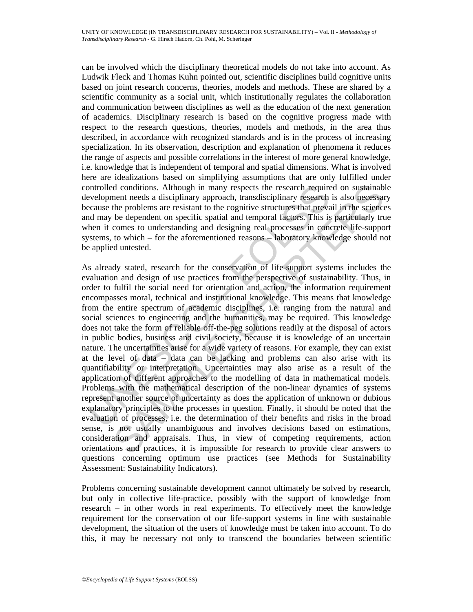can be involved which the disciplinary theoretical models do not take into account. As Ludwik Fleck and Thomas Kuhn pointed out, scientific disciplines build cognitive units based on joint research concerns, theories, models and methods. These are shared by a scientific community as a social unit, which institutionally regulates the collaboration and communication between disciplines as well as the education of the next generation of academics. Disciplinary research is based on the cognitive progress made with respect to the research questions, theories, models and methods, in the area thus described, in accordance with recognized standards and is in the process of increasing specialization. In its observation, description and explanation of phenomena it reduces the range of aspects and possible correlations in the interest of more general knowledge, i.e. knowledge that is independent of temporal and spatial dimensions. What is involved here are idealizations based on simplifying assumptions that are only fulfilled under controlled conditions. Although in many respects the research required on sustainable development needs a disciplinary approach, transdisciplinary research is also necessary because the problems are resistant to the cognitive structures that prevail in the sciences and may be dependent on specific spatial and temporal factors. This is particularly true when it comes to understanding and designing real processes in concrete life-support systems, to which – for the aforementioned reasons – laboratory knowledge should not be applied untested.

ontrolled conditions. Although in many respects the research require<br>velopment needs a disciplinary approach, transdisciplinary research equive<br>velopment needs a disciplinary approach, transdisciplinary research<br>and may be d conditions. Although in many respects the research required on sustainabiant neachs a disciplinary approach, transdisciplinary research is also necessare in the problems are resistant to the cognitive structures that pre As already stated, research for the conservation of life-support systems includes the evaluation and design of use practices from the perspective of sustainability. Thus, in order to fulfil the social need for orientation and action, the information requirement encompasses moral, technical and institutional knowledge. This means that knowledge from the entire spectrum of academic disciplines, i.e. ranging from the natural and social sciences to engineering and the humanities, may be required. This knowledge does not take the form of reliable off-the-peg solutions readily at the disposal of actors in public bodies, business and civil society, because it is knowledge of an uncertain nature. The uncertainties arise for a wide variety of reasons. For example, they can exist at the level of data – data can be lacking and problems can also arise with its quantifiability or interpretation. Uncertainties may also arise as a result of the application of different approaches to the modelling of data in mathematical models. Problems with the mathematical description of the non-linear dynamics of systems represent another source of uncertainty as does the application of unknown or dubious explanatory principles to the processes in question. Finally, it should be noted that the evaluation of processes, i.e. the determination of their benefits and risks in the broad sense, is not usually unambiguous and involves decisions based on estimations, consideration and appraisals. Thus, in view of competing requirements, action orientations and practices, it is impossible for research to provide clear answers to questions concerning optimum use practices (see Methods for Sustainability Assessment: Sustainability Indicators).

Problems concerning sustainable development cannot ultimately be solved by research, but only in collective life-practice, possibly with the support of knowledge from research – in other words in real experiments. To effectively meet the knowledge requirement for the conservation of our life-support systems in line with sustainable development, the situation of the users of knowledge must be taken into account. To do this, it may be necessary not only to transcend the boundaries between scientific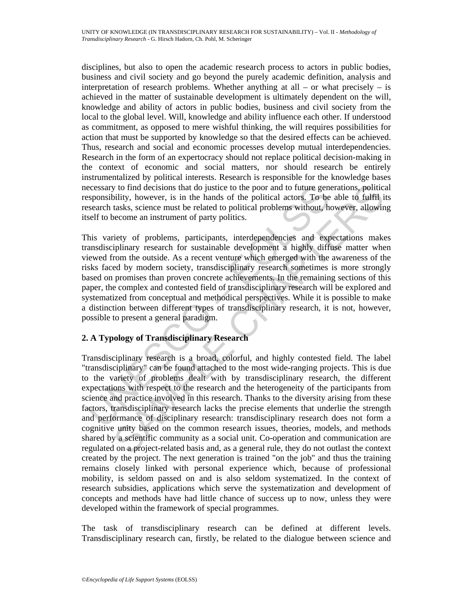disciplines, but also to open the academic research process to actors in public bodies, business and civil society and go beyond the purely academic definition, analysis and interpretation of research problems. Whether anything at all – or what precisely – is achieved in the matter of sustainable development is ultimately dependent on the will, knowledge and ability of actors in public bodies, business and civil society from the local to the global level. Will, knowledge and ability influence each other. If understood as commitment, as opposed to mere wishful thinking, the will requires possibilities for action that must be supported by knowledge so that the desired effects can be achieved. Thus, research and social and economic processes develop mutual interdependencies. Research in the form of an expertocracy should not replace political decision-making in the context of economic and social matters, nor should research be entirely instrumentalized by political interests. Research is responsible for the knowledge bases necessary to find decisions that do justice to the poor and to future generations, political responsibility, however, is in the hands of the political actors. To be able to fulfil its research tasks, science must be related to political problems without, however, allowing itself to become an instrument of party politics.

ecessary to find decisions that do justice to the poor and to future genesponsibility, however, is in the hands of the political actors. To be seach tasks, science must be related to political problems without, he seals th This variety of problems, participants, interdependencies and expectations makes transdisciplinary research for sustainable development a highly diffuse matter when viewed from the outside. As a recent venture which emerged with the awareness of the risks faced by modern society, transdisciplinary research sometimes is more strongly based on promises than proven concrete achievements. In the remaining sections of this paper, the complex and contested field of transdisciplinary research will be explored and systematized from conceptual and methodical perspectives. While it is possible to make a distinction between different types of transdisciplinary research, it is not, however, possible to present a general paradigm.

## **2. A Typology of Transdisciplinary Research**

If the hand of the hand of the binds of the poor and to future generations, politics<br>ility, however, is in the hands of the political across. To be able to fulffil is<br>takks, science must be related to political problems wi Transdisciplinary research is a broad, colorful, and highly contested field. The label "transdisciplinary" can be found attached to the most wide-ranging projects. This is due to the variety of problems dealt with by transdisciplinary research, the different expectations with respect to the research and the heterogeneity of the participants from science and practice involved in this research. Thanks to the diversity arising from these factors, transdisciplinary research lacks the precise elements that underlie the strength and performance of disciplinary research: transdisciplinary research does not form a cognitive unity based on the common research issues, theories, models, and methods shared by a scientific community as a social unit. Co-operation and communication are regulated on a project-related basis and, as a general rule, they do not outlast the context created by the project. The next generation is trained "on the job" and thus the training remains closely linked with personal experience which, because of professional mobility, is seldom passed on and is also seldom systematized. In the context of research subsidies, applications which serve the systematization and development of concepts and methods have had little chance of success up to now, unless they were developed within the framework of special programmes.

The task of transdisciplinary research can be defined at different levels. Transdisciplinary research can, firstly, be related to the dialogue between science and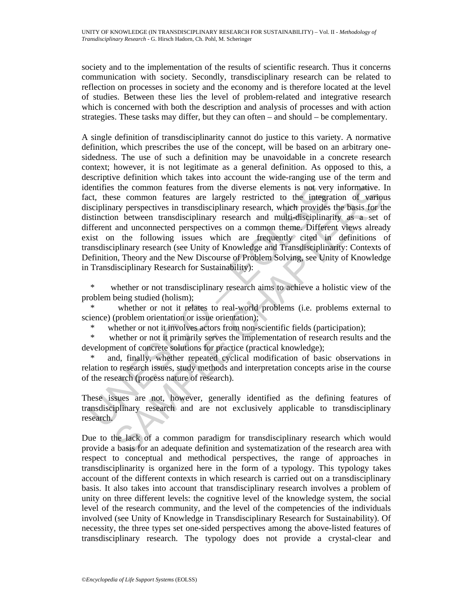society and to the implementation of the results of scientific research. Thus it concerns communication with society. Secondly, transdisciplinary research can be related to reflection on processes in society and the economy and is therefore located at the level of studies. Between these lies the level of problem-related and integrative research which is concerned with both the description and analysis of processes and with action strategies. These tasks may differ, but they can often – and should – be complementary.

lentifies the common features from the diverse elements is not very<br>cherities the common features are largely restricted to the integration<br>integration perspectives in transidisciplinary research, which provides<br>istinction se common features from the diverse elements is not very informative. It as common features are largely restricted to the integration of various ary perspectives in transdisciplinary research, which provides the basis for A single definition of transdisciplinarity cannot do justice to this variety. A normative definition, which prescribes the use of the concept, will be based on an arbitrary onesidedness. The use of such a definition may be unavoidable in a concrete research context; however, it is not legitimate as a general definition. As opposed to this, a descriptive definition which takes into account the wide-ranging use of the term and identifies the common features from the diverse elements is not very informative. In fact, these common features are largely restricted to the integration of various disciplinary perspectives in transdisciplinary research, which provides the basis for the distinction between transdisciplinary research and multi-disciplinarity as a set of different and unconnected perspectives on a common theme. Different views already exist on the following issues which are frequently cited in definitions of transdisciplinary research (see Unity of Knowledge and Transdisciplinarity: Contexts of Definition, Theory and the New Discourse of Problem Solving, see Unity of Knowledge in Transdisciplinary Research for Sustainability):

 \* whether or not transdisciplinary research aims to achieve a holistic view of the problem being studied (holism);

whether or not it relates to real-world problems (i.e. problems external to science) (problem orientation or issue orientation);

whether or not it involves actors from non-scientific fields (participation);

 \* whether or not it primarily serves the implementation of research results and the development of concrete solutions for practice (practical knowledge);

and, finally, whether repeated cyclical modification of basic observations in relation to research issues, study methods and interpretation concepts arise in the course of the research (process nature of research).

These issues are not, however, generally identified as the defining features of transdisciplinary research and are not exclusively applicable to transdisciplinary research.

Due to the lack of a common paradigm for transdisciplinary research which would provide a basis for an adequate definition and systematization of the research area with respect to conceptual and methodical perspectives, the range of approaches in transdisciplinarity is organized here in the form of a typology. This typology takes account of the different contexts in which research is carried out on a transdisciplinary basis. It also takes into account that transdisciplinary research involves a problem of unity on three different levels: the cognitive level of the knowledge system, the social level of the research community, and the level of the competencies of the individuals involved (see Unity of Knowledge in Transdisciplinary Research for Sustainability). Of necessity, the three types set one-sided perspectives among the above-listed features of transdisciplinary research. The typology does not provide a crystal-clear and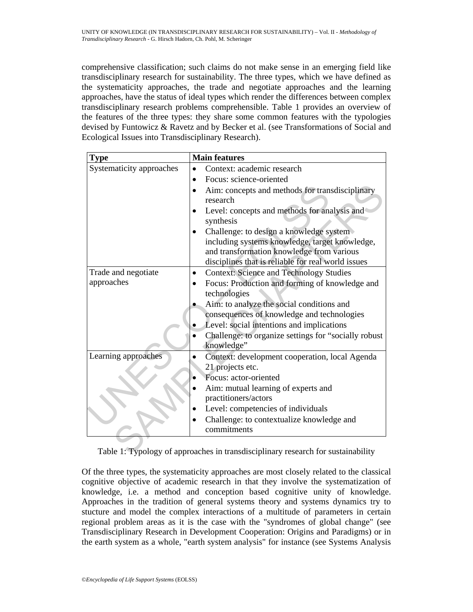comprehensive classification; such claims do not make sense in an emerging field like transdisciplinary research for sustainability. The three types, which we have defined as the systematicity approaches, the trade and negotiate approaches and the learning approaches, have the status of ideal types which render the differences between complex transdisciplinary research problems comprehensible. Table 1 provides an overview of the features of the three types: they share some common features with the typologies devised by Funtowicz & Ravetz and by Becker et al. (see Transformations of Social and Ecological Issues into Transdisciplinary Research).

| <b>Type</b>                                                                      | <b>Main features</b>                                 |
|----------------------------------------------------------------------------------|------------------------------------------------------|
| Systematicity approaches                                                         | Context: academic research                           |
|                                                                                  | Focus: science-oriented                              |
|                                                                                  | Aim: concepts and methods for transdisciplinary      |
|                                                                                  | research                                             |
|                                                                                  | Level: concepts and methods for analysis and         |
|                                                                                  | synthesis                                            |
|                                                                                  | Challenge: to design a knowledge system              |
|                                                                                  | including systems knowledge, target knowledge,       |
|                                                                                  | and transformation knowledge from various            |
|                                                                                  | disciplines that is reliable for real world issues   |
| Trade and negotiate                                                              | <b>Context: Science and Technology Studies</b>       |
| approaches                                                                       | Focus: Production and forming of knowledge and       |
|                                                                                  | technologies                                         |
|                                                                                  | Aim: to analyze the social conditions and            |
|                                                                                  | consequences of knowledge and technologies           |
|                                                                                  | Level: social intentions and implications            |
|                                                                                  | Challenge: to organize settings for "socially robust |
|                                                                                  | knowledge"                                           |
| Learning approaches                                                              | Context: development cooperation, local Agenda       |
|                                                                                  | 21 projects etc.                                     |
|                                                                                  | Focus: actor-oriented                                |
|                                                                                  | Aim: mutual learning of experts and                  |
|                                                                                  | practitioners/actors                                 |
|                                                                                  | Level: competencies of individuals                   |
|                                                                                  | Challenge: to contextualize knowledge and            |
|                                                                                  | commitments                                          |
|                                                                                  |                                                      |
| Table 1: Typology of approaches in transdisciplinary research for sustainability |                                                      |

Table 1: Typology of approaches in transdisciplinary research for sustainability

Of the three types, the systematicity approaches are most closely related to the classical cognitive objective of academic research in that they involve the systematization of knowledge, i.e. a method and conception based cognitive unity of knowledge. Approaches in the tradition of general systems theory and systems dynamics try to stucture and model the complex interactions of a multitude of parameters in certain regional problem areas as it is the case with the "syndromes of global change" (see Transdisciplinary Research in Development Cooperation: Origins and Paradigms) or in the earth system as a whole, "earth system analysis" for instance (see Systems Analysis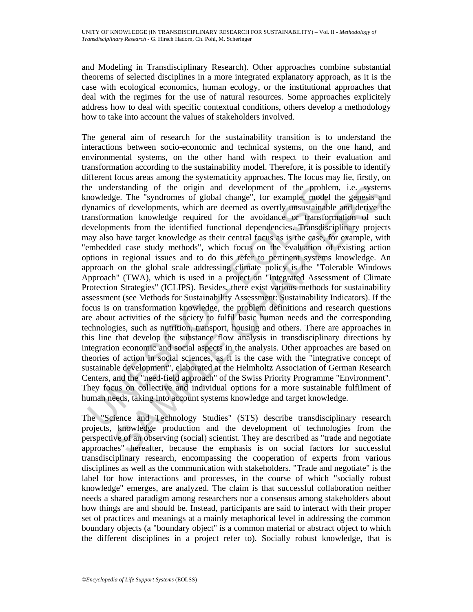and Modeling in Transdisciplinary Research). Other approaches combine substantial theorems of selected disciplines in a more integrated explanatory approach, as it is the case with ecological economics, human ecology, or the institutional approaches that deal with the regimes for the use of natural resources. Some approaches explicitely address how to deal with specific contextual conditions, others develop a methodology how to take into account the values of stakeholders involved.

ie understanding of the origin and development of the proble<br>nowledge. The "syndromes of global change", for example, model<br>pynamics of developments, which are decened as overtly unsustainable<br>ansformation knowledge requir erstanding of the origin and development of the problem, i.e. system<br>gest .The "syndromes of global change", for example, model the geneesis and<br>of clevelopments, which are deemed as overtly unsustainable and derive the<br>an The general aim of research for the sustainability transition is to understand the interactions between socio-economic and technical systems, on the one hand, and environmental systems, on the other hand with respect to their evaluation and transformation according to the sustainability model. Therefore, it is possible to identify different focus areas among the systematicity approaches. The focus may lie, firstly, on the understanding of the origin and development of the problem, i.e. systems knowledge. The "syndromes of global change", for example, model the genesis and dynamics of developments, which are deemed as overtly unsustainable and derive the transformation knowledge required for the avoidance or transformation of such developments from the identified functional dependencies. Transdisciplinary projects may also have target knowledge as their central focus as is the case, for example, with "embedded case study methods", which focus on the evaluation of existing action options in regional issues and to do this refer to pertinent systems knowledge. An approach on the global scale addressing climate policy is the "Tolerable Windows Approach" (TWA), which is used in a project on "Integrated Assessment of Climate Protection Strategies" (ICLIPS). Besides, there exist various methods for sustainability assessment (see Methods for Sustainability Assessment: Sustainability Indicators). If the focus is on transformation knowledge, the problem definitions and research questions are about activities of the society to fulfil basic human needs and the corresponding technologies, such as nutrition, transport, housing and others. There are approaches in this line that develop the substance flow analysis in transdisciplinary directions by integration economic and social aspects in the analysis. Other approaches are based on theories of action in social sciences, as it is the case with the "integrative concept of sustainable development", elaborated at the Helmholtz Association of German Research Centers, and the "need-field approach" of the Swiss Priority Programme "Environment". They focus on collective and individual options for a more sustainable fulfilment of human needs, taking into account systems knowledge and target knowledge.

The "Science and Technology Studies" (STS) describe transdisciplinary research projects, knowledge production and the development of technologies from the perspective of an observing (social) scientist. They are described as "trade and negotiate approaches" hereafter, because the emphasis is on social factors for successful transdisciplinary research, encompassing the cooperation of experts from various disciplines as well as the communication with stakeholders. "Trade and negotiate" is the label for how interactions and processes, in the course of which "socially robust knowledge" emerges, are analyzed. The claim is that successful collaboration neither needs a shared paradigm among researchers nor a consensus among stakeholders about how things are and should be. Instead, participants are said to interact with their proper set of practices and meanings at a mainly metaphorical level in addressing the common boundary objects (a "boundary object" is a common material or abstract object to which the different disciplines in a project refer to). Socially robust knowledge, that is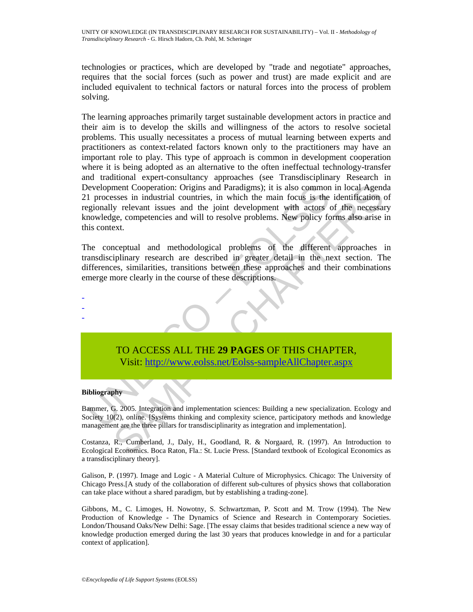technologies or practices, which are developed by "trade and negotiate" approaches, requires that the social forces (such as power and trust) are made explicit and are included equivalent to technical factors or natural forces into the process of problem solving.

evelopment Cooperation: Origins and Paradigms); it is also common<br>
1 processes in industrial countries, in which the main focus is the<br>
gionally relevant issues and the joint development with actors<br>
inconveloge, competenc ment Cooperation: Origins and Paradigms); it is also common in local Agend<br>
sisses in industrial countries, in which the main focus is the identification<br>
y relevant issues and the joint development with actors of the nece The learning approaches primarily target sustainable development actors in practice and their aim is to develop the skills and willingness of the actors to resolve societal problems. This usually necessitates a process of mutual learning between experts and practitioners as context-related factors known only to the practitioners may have an important role to play. This type of approach is common in development cooperation where it is being adopted as an alternative to the often ineffectual technology-transfer and traditional expert-consultancy approaches (see Transdisciplinary Research in Development Cooperation: Origins and Paradigms); it is also common in local Agenda 21 processes in industrial countries, in which the main focus is the identification of regionally relevant issues and the joint development with actors of the necessary knowledge, competencies and will to resolve problems. New policy forms also arise in this context.

The conceptual and methodological problems of the different approaches in transdisciplinary research are described in greater detail in the next section. The differences, similarities, transitions between these approaches and their combinations emerge more clearly in the course of these descriptions.



TO ACCESS ALL THE **29 PAGES** OF THIS CHAPTER, Visit: http://www.eolss.net/Eolss-sampleAllChapter.aspx

#### **Bibliography**

Bammer, G. 2005. Integration and implementation sciences: Building a new specialization. Ecology and Society 10(2), online. [Systems thinking and complexity science, participatory methods and knowledge management are the three pillars for transdisciplinarity as integration and implementation].

Costanza, R., Cumberland, J., Daly, H., Goodland, R. & Norgaard, R. (1997). An Introduction to Ecological Economics. Boca Raton, Fla.: St. Lucie Press. [Standard textbook of Ecological Economics as a transdisciplinary theory].

Galison, P. (1997). Image and Logic - A Material Culture of Microphysics. Chicago: The University of Chicago Press.[A study of the collaboration of different sub-cultures of physics shows that collaboration can take place without a shared paradigm, but by establishing a trading-zone].

Gibbons, M., C. Limoges, H. Nowotny, S. Schwartzman, P. Scott and M. Trow (1994). The New Production of Knowledge - The Dynamics of Science and Research in Contemporary Societies. London/Thousand Oaks/New Delhi: Sage. [The essay claims that besides traditional science a new way of knowledge production emerged during the last 30 years that produces knowledge in and for a particular context of application].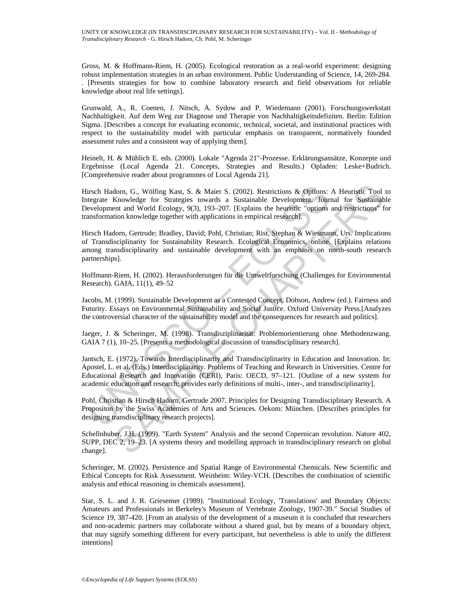Gross, M. & Hoffmann-Riem, H. (2005). Ecological restoration as a real-world experiment: designing robust implementation strategies in an urban environment. Public Understanding of Science, 14, 269-284. . [Presents strategies for how to combine laboratory research and field observations for reliable knowledge about real life settings].

Grunwald, A., R. Coenen, J. Nitsch, A. Sydow and P. Wiedemann (2001). Forschungswerkstatt Nachhaltigkeit. Auf dem Weg zur Diagnose und Therapie von Nachhaltigkeitsdefiziten. Berlin: Edition Sigma. [Describes a concept for evaluating economic, technical, societal, and institutional practices with respect to the sustainability model with particular emphasis on transparent, normatively founded assessment rules and a consistent way of applying them].

Heinelt, H. & Mühlich E. eds. (2000). Lokale "Agenda 21"-Prozesse. Erklärungsansätze, Konzepte und Ergebnisse (Local Agenda 21. Concepts, Strategies and Results.) Opladen: Leske+Budrich. [Comprehensive reader about programmes of Local Agenda 21].

irsch Hadom, G., Wölfing Kast, S. & Maier S. (2002). Restrictions & Options:<br>tegrate Knowledge for Strategies towards a Sustainable Development. Journal Morevelopment and World Ecology, 9(3), 193-207. [Explains the heurist dom, G., Wölfing Kast, S. & Maier S. (2002). Restrictions & Options: A Heuristic Tool Knowledge for Strategies towards a Sustainable Development. Journal for Sustainable Development. Journal for Sustainable Development. Jo Hirsch Hadorn, G., Wölfing Kast, S. & Maier S. (2002). Restrictions & Options: A Heuristic Tool to Integrate Knowledge for Strategies towards a Sustainable Development. Journal for Sustainable Development and World Ecology, 9(3), 193–207. [Explains the heuristic "options and restrictions" for transformation knowledge together with applications in empirical research].

Hirsch Hadorn, Gertrude; Bradley, David; Pohl, Christian; Rist, Stephan & Wiesmann, Urs. Implications of Transdisciplinarity for Sustainability Research. Ecological Economics, online. [Explains relations among transdisciplinarity and sustainable development with an emphasis on north-south research partnerships].

Hoffmann-Riem, H. (2002). Herausforderungen für die Umweltforschung (Challenges for Environmental Research). GAIA, 11(1), 49–52

Jacobs, M. (1999). Sustainable Development as a Contested Concept. Dobson, Andrew (ed.). Fairness and Futurity. Essays on Environmental Sustainability and Social Justice. Oxford University Press.[Analyzes the controversial character of the sustainability model and the consequences for research and politics].

Jaeger, J. & Scheringer, M. (1998). Transdisziplinarität: Problemorientierung ohne Methodenzwang. GAIA 7 (1), 10–25. [Presents a methodological discussion of transdisciplinary research].

Jantsch, E. (1972). Towards Interdisciplinartiy and Transdisciplinarity in Education and Innovation. In: Apostel, L. et al. (Eds.) Interdisciplinarity. Problems of Teaching and Research in Universities. Centre for Educational Research and Innovation (CERI), Paris: OECD, 97–121. [Outline of a new system for academic education and research; provides early definitions of multi-, inter-, and transdisciplinarity].

Pohl, Christian & Hirsch Hadorn, Gertrude 2007. Principles for Designing Transdisciplinary Research. A Propositon by the Swiss Academies of Arts and Sciences. Oekom: München. [Describes principles for designing transdisciplinary research projects].

Schellnhuber, J.H. (1999). "Earth System" Analysis and the second Copernican revolution. Nature 402, SUPP, DEC 2, 19–23. [A systems theory and modelling approach in transdisciplinary research on global change].

Scheringer, M. (2002). Persistence and Spatial Range of Environmental Chemicals. New Scientific and Ethical Concepts for Risk Assessment. Weinheim: Wiley-VCH. [Describes the combination of scientific analysis and ethical reasoning in chemicals assessment].

Star, S. L. and J. R. Griesemer (1989). "Institutional Ecology, 'Translations' and Boundary Objects: Amateurs and Professionals in Berkeley's Museum of Vertebrate Zoology, 1907-39." Social Studies of Science 19, 387-420. [From an analysis of the development of a museum it is concluded that researchers and non-academic partners may collaborate without a shared goal, but by means of a boundary object, that may signify something different for every participant, but nevertheless is able to unify the different intentions]